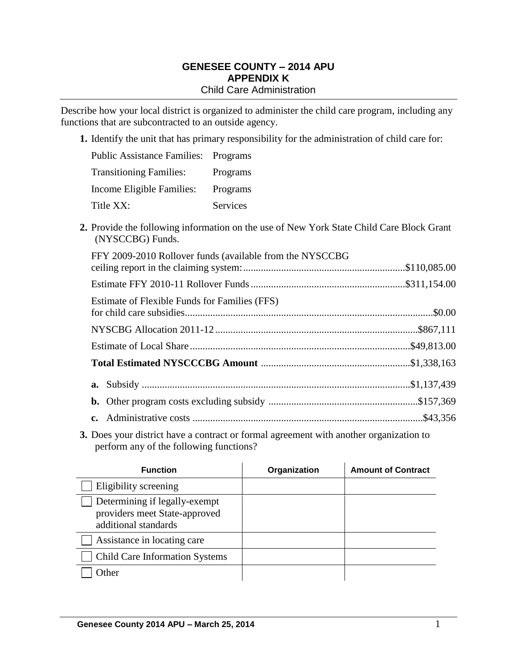### **GENESEE COUNTY – 2014 APU APPENDIX K** Child Care Administration

Describe how your local district is organized to administer the child care program, including any functions that are subcontracted to an outside agency.

**1.** Identify the unit that has primary responsibility for the administration of child care for:

| <b>Public Assistance Families: Programs</b> |          |
|---------------------------------------------|----------|
| <b>Transitioning Families:</b>              | Programs |
| Income Eligible Families:                   | Programs |
| Title XX:                                   | Services |

**2.** Provide the following information on the use of New York State Child Care Block Grant (NYSCCBG) Funds.

| FFY 2009-2010 Rollover funds (available from the NYSCCBG |  |
|----------------------------------------------------------|--|
|                                                          |  |
| Estimate of Flexible Funds for Families (FFS)            |  |
|                                                          |  |
|                                                          |  |
|                                                          |  |
|                                                          |  |
|                                                          |  |
|                                                          |  |

**3.** Does your district have a contract or formal agreement with another organization to perform any of the following functions?

| <b>Function</b>                                                                        | Organization | <b>Amount of Contract</b> |
|----------------------------------------------------------------------------------------|--------------|---------------------------|
| Eligibility screening                                                                  |              |                           |
| Determining if legally-exempt<br>providers meet State-approved<br>additional standards |              |                           |
| Assistance in locating care                                                            |              |                           |
| <b>Child Care Information Systems</b>                                                  |              |                           |
| <b>Other</b>                                                                           |              |                           |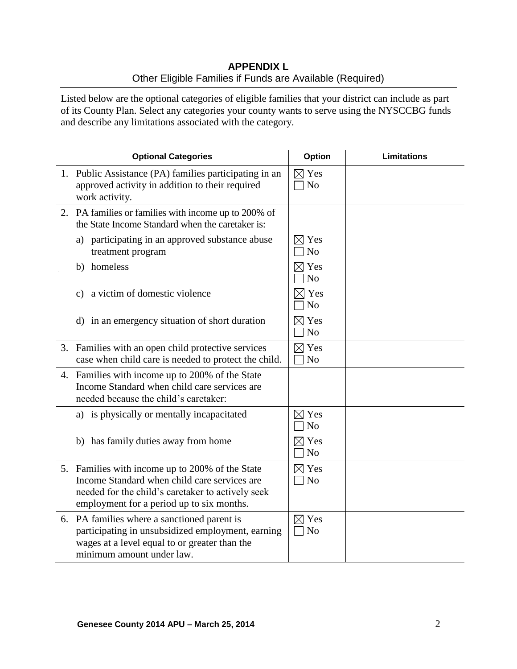# **APPENDIX L** Other Eligible Families if Funds are Available (Required)

Listed below are the optional categories of eligible families that your district can include as part of its County Plan. Select any categories your county wants to serve using the NYSCCBG funds and describe any limitations associated with the category.

| <b>Optional Categories</b>                                                                                                                                                                        | <b>Option</b>                     | <b>Limitations</b> |
|---------------------------------------------------------------------------------------------------------------------------------------------------------------------------------------------------|-----------------------------------|--------------------|
| 1. Public Assistance (PA) families participating in an<br>approved activity in addition to their required<br>work activity.                                                                       | $\boxtimes$ Yes<br>N <sub>o</sub> |                    |
| 2. PA families or families with income up to 200% of<br>the State Income Standard when the caretaker is:                                                                                          |                                   |                    |
| a) participating in an approved substance abuse<br>treatment program                                                                                                                              | $\times$ Yes<br>N <sub>o</sub>    |                    |
| homeless<br>b)                                                                                                                                                                                    | $\boxtimes$ Yes<br>N <sub>o</sub> |                    |
| a victim of domestic violence<br>C)                                                                                                                                                               | $\times$ Yes<br>N <sub>o</sub>    |                    |
| d) in an emergency situation of short duration                                                                                                                                                    | $\boxtimes$ Yes<br>N <sub>o</sub> |                    |
| 3. Families with an open child protective services<br>case when child care is needed to protect the child.                                                                                        | $\boxtimes$ Yes<br>N <sub>o</sub> |                    |
| 4. Families with income up to 200% of the State<br>Income Standard when child care services are<br>needed because the child's caretaker:                                                          |                                   |                    |
| a) is physically or mentally incapacitated                                                                                                                                                        | $\boxtimes$ Yes<br>N <sub>o</sub> |                    |
| b) has family duties away from home                                                                                                                                                               | $\boxtimes$ Yes<br>N <sub>o</sub> |                    |
| 5. Families with income up to 200% of the State<br>Income Standard when child care services are<br>needed for the child's caretaker to actively seek<br>employment for a period up to six months. | $\boxtimes$ Yes<br>$\exists$ No   |                    |
| 6. PA families where a sanctioned parent is<br>participating in unsubsidized employment, earning<br>wages at a level equal to or greater than the<br>minimum amount under law.                    | $\boxtimes$ Yes<br>N <sub>o</sub> |                    |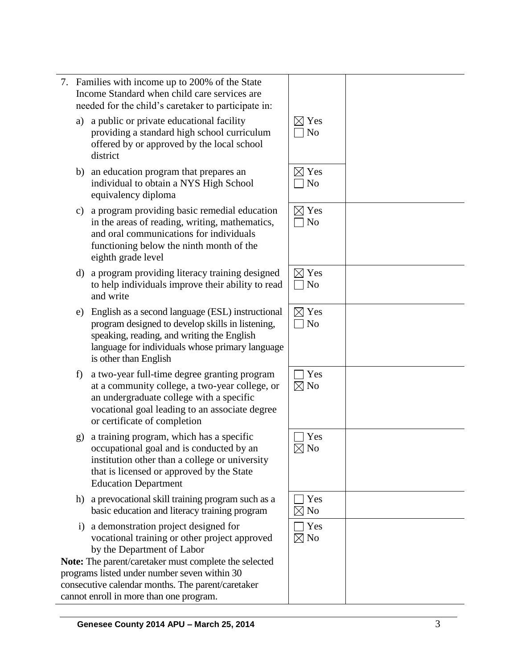| n income up to 200% of the State<br>dard when child care services are<br>the child's caretaker to participate in:<br>or private educational facility<br>g a standard high school curriculum<br>y or approved by the local school  | $\boxtimes$ Yes<br>N <sub>o</sub> |  |
|-----------------------------------------------------------------------------------------------------------------------------------------------------------------------------------------------------------------------------------|-----------------------------------|--|
| tion program that prepares an<br>l to obtain a NYS High School<br>ncy diploma                                                                                                                                                     | $\boxtimes$ Yes<br>N <sub>0</sub> |  |
| n providing basic remedial education<br>as of reading, writing, mathematics,<br>communications for individuals<br>ng below the ninth month of the<br>ade level                                                                    | $\boxtimes$ Yes<br>N <sub>o</sub> |  |
| n providing literacy training designed<br>dividuals improve their ability to read                                                                                                                                                 | $\boxtimes$ Yes<br>N <sub>o</sub> |  |
| s a second language (ESL) instructional<br>designed to develop skills in listening,<br>reading, and writing the English<br>for individuals whose primary language<br>an English                                                   | $\boxtimes$ Yes<br>$\log$         |  |
| ar full-time degree granting program<br>nunity college, a two-year college, or<br>graduate college with a specific<br>al goal leading to an associate degree<br>cate of completion                                                | Yes<br>$\boxtimes$ No             |  |
| program, which has a specific<br>onal goal and is conducted by an<br>n other than a college or university<br>ensed or approved by the State<br>n Department                                                                       | Yes<br>N <sub>o</sub>             |  |
| tional skill training program such as a<br>cation and literacy training program                                                                                                                                                   | Yes<br>$\boxtimes$ No             |  |
| stration project designed for<br>al training or other project approved<br>epartment of Labor<br>/caretaker must complete the selected<br>nder number seven within 30<br>dar months. The parent/caretaker<br>nore than one program | Yes<br>$\boxtimes$ No             |  |

- a) a public  $\alpha$ providing offered by district
- b) an educat individua<sup>1</sup> equivalen
- c) a program in the area and oral c functioning eighth gra
- d) a program to help in and write
- e) English as program d speaking, language is other th
- f) a two -year full at a comn an underg vocationa or certific
- g) a training occupatio institution that is lice Education
- h) a prevocat basic educ
- i) a demons vocationa by the De

**Note:** The parent/ programs listed und consecutive calen cannot enroll in more than one program.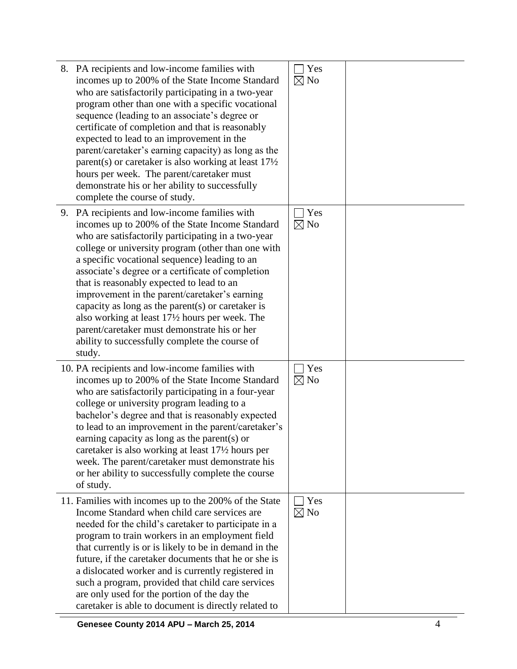| 8. PA recipients and low-income families with<br>incomes up to 200% of the State Income Standard<br>who are satisfactorily participating in a two-year<br>program other than one with a specific vocational<br>sequence (leading to an associate's degree or<br>certificate of completion and that is reasonably<br>expected to lead to an improvement in the<br>parent/caretaker's earning capacity) as long as the<br>parent(s) or caretaker is also working at least $17\frac{1}{2}$<br>hours per week. The parent/caretaker must<br>demonstrate his or her ability to successfully<br>complete the course of study.               | Yes<br>$\boxtimes$ No |  |
|---------------------------------------------------------------------------------------------------------------------------------------------------------------------------------------------------------------------------------------------------------------------------------------------------------------------------------------------------------------------------------------------------------------------------------------------------------------------------------------------------------------------------------------------------------------------------------------------------------------------------------------|-----------------------|--|
| 9. PA recipients and low-income families with<br>incomes up to 200% of the State Income Standard<br>who are satisfactorily participating in a two-year<br>college or university program (other than one with<br>a specific vocational sequence) leading to an<br>associate's degree or a certificate of completion<br>that is reasonably expected to lead to an<br>improvement in the parent/caretaker's earning<br>capacity as long as the parent $(s)$ or caretaker is<br>also working at least 17½ hours per week. The<br>parent/caretaker must demonstrate his or her<br>ability to successfully complete the course of<br>study. | Yes<br>$\boxtimes$ No |  |
| 10. PA recipients and low-income families with<br>incomes up to 200% of the State Income Standard<br>who are satisfactorily participating in a four-year<br>college or university program leading to a<br>bachelor's degree and that is reasonably expected<br>to lead to an improvement in the parent/caretaker's<br>earning capacity as long as the parent(s) or<br>caretaker is also working at least 17 <sup>1</sup> / <sub>2</sub> hours per<br>week. The parent/caretaker must demonstrate his<br>or her ability to successfully complete the course<br>of study.                                                               | Yes<br>$\boxtimes$ No |  |
| 11. Families with incomes up to the 200% of the State<br>Income Standard when child care services are<br>needed for the child's caretaker to participate in a<br>program to train workers in an employment field<br>that currently is or is likely to be in demand in the<br>future, if the caretaker documents that he or she is<br>a dislocated worker and is currently registered in<br>such a program, provided that child care services<br>are only used for the portion of the day the<br>caretaker is able to document is directly related to                                                                                  | Yes<br>$\boxtimes$ No |  |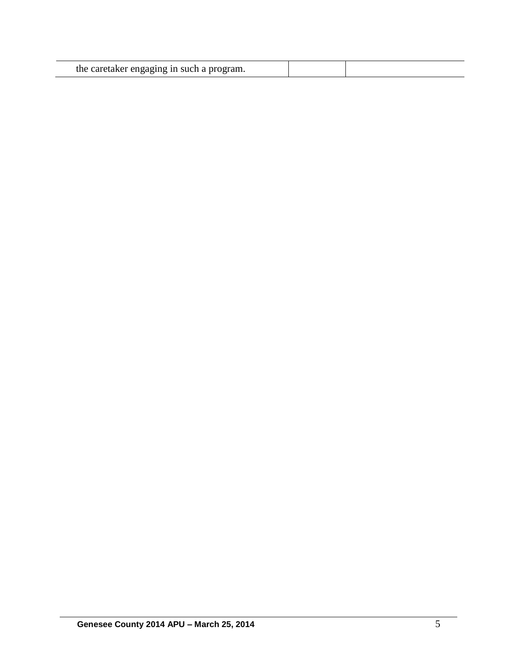|  | the caretaker engaging in such a program. |  |  |
|--|-------------------------------------------|--|--|
|--|-------------------------------------------|--|--|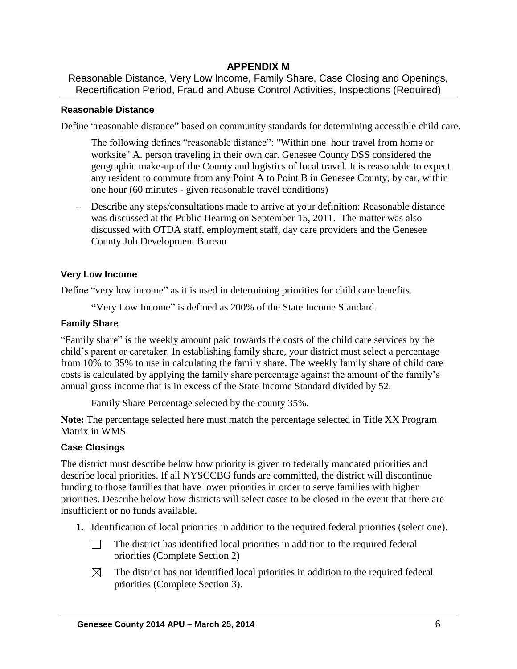# **APPENDIX M**

Reasonable Distance, Very Low Income, Family Share, Case Closing and Openings, Recertification Period, Fraud and Abuse Control Activities, Inspections (Required)

### **Reasonable Distance**

Define "reasonable distance" based on community standards for determining accessible child care.

The following defines "reasonable distance": "Within one hour travel from home or worksite" A. person traveling in their own car. Genesee County DSS considered the geographic make-up of the County and logistics of local travel. It is reasonable to expect any resident to commute from any Point A to Point B in Genesee County, by car, within one hour (60 minutes - given reasonable travel conditions)

 Describe any steps/consultations made to arrive at your definition: Reasonable distance was discussed at the Public Hearing on September 15, 2011. The matter was also discussed with OTDA staff, employment staff, day care providers and the Genesee County Job Development Bureau

### **Very Low Income**

Define "very low income" as it is used in determining priorities for child care benefits.

**"**Very Low Income" is defined as 200% of the State Income Standard.

### **Family Share**

"Family share" is the weekly amount paid towards the costs of the child care services by the child's parent or caretaker. In establishing family share, your district must select a percentage from 10% to 35% to use in calculating the family share. The weekly family share of child care costs is calculated by applying the family share percentage against the amount of the family's annual gross income that is in excess of the State Income Standard divided by 52.

Family Share Percentage selected by the county 35%.

**Note:** The percentage selected here must match the percentage selected in Title XX Program Matrix in WMS.

# **Case Closings**

The district must describe below how priority is given to federally mandated priorities and describe local priorities. If all NYSCCBG funds are committed, the district will discontinue funding to those families that have lower priorities in order to serve families with higher priorities. Describe below how districts will select cases to be closed in the event that there are insufficient or no funds available.

- **1.** Identification of local priorities in addition to the required federal priorities (select one).
	- $\Box$ The district has identified local priorities in addition to the required federal priorities (Complete Section 2)
	- $\boxtimes$ The district has not identified local priorities in addition to the required federal priorities (Complete Section 3).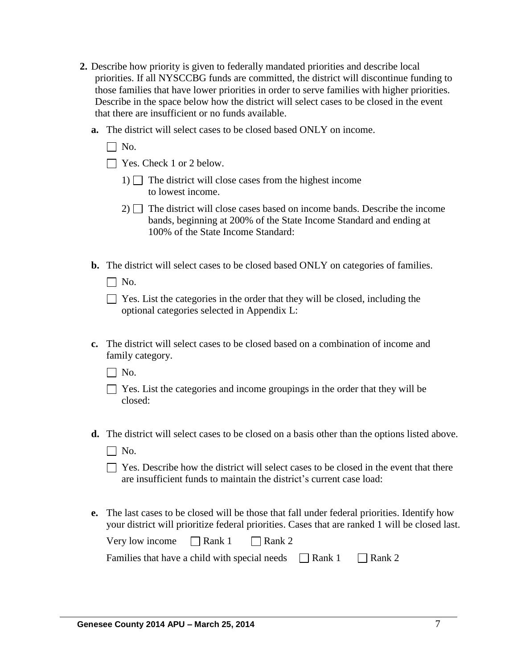- **2.** Describe how priority is given to federally mandated priorities and describe local priorities. If all NYSCCBG funds are committed, the district will discontinue funding to those families that have lower priorities in order to serve families with higher priorities. Describe in the space below how the district will select cases to be closed in the event that there are insufficient or no funds available.
	- **a.** The district will select cases to be closed based ONLY on income.
		- $\Box$  No.
		- □ Yes. Check 1 or 2 below.
			- 1)  $\Box$  The district will close cases from the highest income to lowest income.
			- $2)$  The district will close cases based on income bands. Describe the income bands, beginning at 200% of the State Income Standard and ending at 100% of the State Income Standard:
	- **b.** The district will select cases to be closed based ONLY on categories of families.
		- $\Box$  No.

| $\Box$ Yes. List the categories in the order that they will be closed, including the |
|--------------------------------------------------------------------------------------|
| optional categories selected in Appendix L:                                          |

- **c.** The district will select cases to be closed based on a combination of income and family category.
	- $\Box$  No.
	- $\Box$  Yes. List the categories and income groupings in the order that they will be closed:
- **d.** The district will select cases to be closed on a basis other than the options listed above.
	- $\Box$  No.
	- $\Box$  Yes. Describe how the district will select cases to be closed in the event that there are insufficient funds to maintain the district's current case load:
- **e.** The last cases to be closed will be those that fall under federal priorities. Identify how your district will prioritize federal priorities. Cases that are ranked 1 will be closed last.

| Very low income | $\Box$ Rank 1 | $\Box$ Rank 2 |
|-----------------|---------------|---------------|
|-----------------|---------------|---------------|

| Families that have a child with special needs | $\Box$ Rank 1 | $\Box$ Rank 2 |
|-----------------------------------------------|---------------|---------------|
|-----------------------------------------------|---------------|---------------|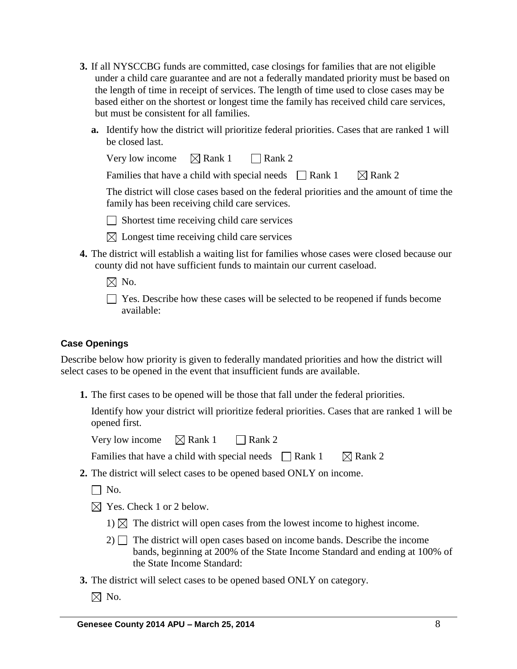- **3.** If all NYSCCBG funds are committed, case closings for families that are not eligible under a child care guarantee and are not a federally mandated priority must be based on the length of time in receipt of services. The length of time used to close cases may be based either on the shortest or longest time the family has received child care services, but must be consistent for all families.
	- **a.** Identify how the district will prioritize federal priorities. Cases that are ranked 1 will be closed last.

| Very low income $\boxtimes$ Rank 1 $\Box$ Rank 2                                         |  |                    |  |
|------------------------------------------------------------------------------------------|--|--------------------|--|
| Families that have a child with special needs $\Box$ Rank 1                              |  | $\boxtimes$ Rank 2 |  |
| The district will close cases based on the federal priorities and the amount of time the |  |                    |  |
| family has been receiving child care services.                                           |  |                    |  |

 $\Box$  Shortest time receiving child care services

- $\boxtimes$  Longest time receiving child care services
- **4.** The district will establish a waiting list for families whose cases were closed because our county did not have sufficient funds to maintain our current caseload.
	- $\boxtimes$  No.
	- Yes. Describe how these cases will be selected to be reopened if funds become available:

# **Case Openings**

Describe below how priority is given to federally mandated priorities and how the district will select cases to be opened in the event that insufficient funds are available.

**1.** The first cases to be opened will be those that fall under the federal priorities.

Identify how your district will prioritize federal priorities. Cases that are ranked 1 will be opened first.

Very low income  $\boxtimes$  Rank 1 Rank 2

Families that have a child with special needs  $\Box$  Rank 1  $\Box$  Rank 2

- **2.** The district will select cases to be opened based ONLY on income.
	- $\Box$  No.
	- $\boxtimes$  Yes. Check 1 or 2 below.
		- 1)  $\boxtimes$  The district will open cases from the lowest income to highest income.
		- $2)$  The district will open cases based on income bands. Describe the income bands, beginning at 200% of the State Income Standard and ending at 100% of the State Income Standard:
- **3.** The district will select cases to be opened based ONLY on category.
	- $\boxtimes$  No.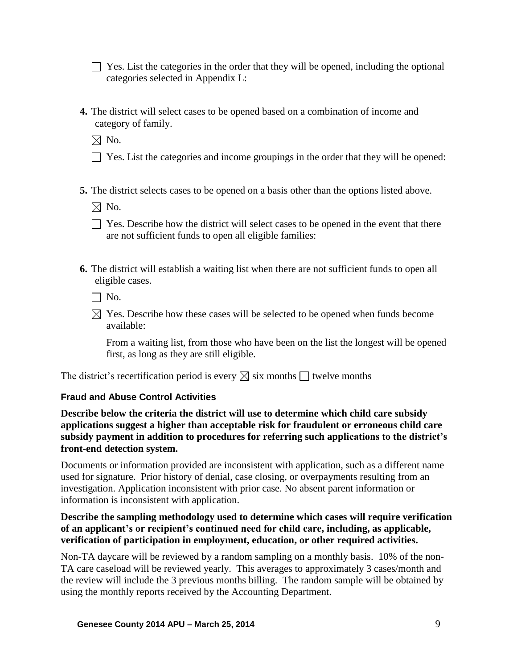$\Box$  Yes. List the categories in the order that they will be opened, including the optional categories selected in Appendix L:

**4.** The district will select cases to be opened based on a combination of income and category of family.

 $\boxtimes$  No.

- $\Box$  Yes. List the categories and income groupings in the order that they will be opened:
- **5.** The district selects cases to be opened on a basis other than the options listed above.

 $\boxtimes$  No.

- $\Box$  Yes. Describe how the district will select cases to be opened in the event that there are not sufficient funds to open all eligible families:
- **6.** The district will establish a waiting list when there are not sufficient funds to open all eligible cases.

 $\Box$  No.

 $\boxtimes$  Yes. Describe how these cases will be selected to be opened when funds become available:

From a waiting list, from those who have been on the list the longest will be opened first, as long as they are still eligible.

The district's recertification period is every  $\boxtimes$  six months  $\Box$  twelve months

# **Fraud and Abuse Control Activities**

**Describe below the criteria the district will use to determine which child care subsidy applications suggest a higher than acceptable risk for fraudulent or erroneous child care subsidy payment in addition to procedures for referring such applications to the district's front-end detection system.**

Documents or information provided are inconsistent with application, such as a different name used for signature. Prior history of denial, case closing, or overpayments resulting from an investigation. Application inconsistent with prior case. No absent parent information or information is inconsistent with application.

# **Describe the sampling methodology used to determine which cases will require verification of an applicant's or recipient's continued need for child care, including, as applicable, verification of participation in employment, education, or other required activities.**

Non-TA daycare will be reviewed by a random sampling on a monthly basis. 10% of the non-TA care caseload will be reviewed yearly. This averages to approximately 3 cases/month and the review will include the 3 previous months billing. The random sample will be obtained by using the monthly reports received by the Accounting Department.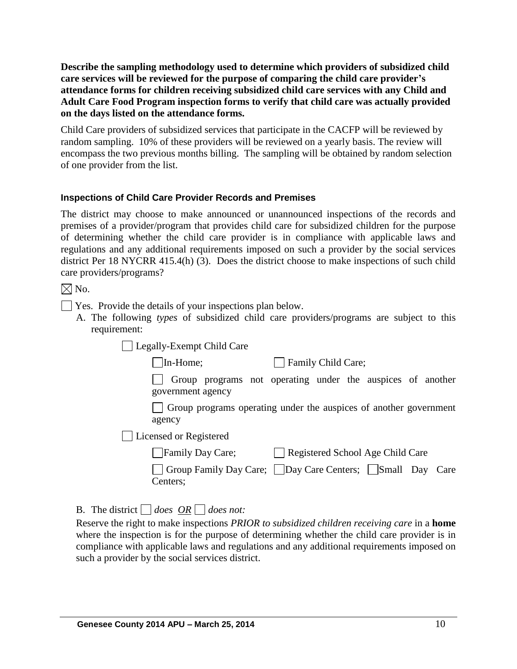**Describe the sampling methodology used to determine which providers of subsidized child care services will be reviewed for the purpose of comparing the child care provider's attendance forms for children receiving subsidized child care services with any Child and Adult Care Food Program inspection forms to verify that child care was actually provided on the days listed on the attendance forms.** 

Child Care providers of subsidized services that participate in the CACFP will be reviewed by random sampling. 10% of these providers will be reviewed on a yearly basis. The review will encompass the two previous months billing. The sampling will be obtained by random selection of one provider from the list.

### **Inspections of Child Care Provider Records and Premises**

The district may choose to make announced or unannounced inspections of the records and premises of a provider/program that provides child care for subsidized children for the purpose of determining whether the child care provider is in compliance with applicable laws and regulations and any additional requirements imposed on such a provider by the social services district Per 18 NYCRR 415.4(h) (3). Does the district choose to make inspections of such child care providers/programs?

 $\boxtimes$  No.

- Yes. Provide the details of your inspections plan below.
	- A. The following *types* of subsidized child care providers/programs are subject to this requirement:

Legally-Exempt Child Care

In-Home; Family Child Care;

Group programs not operating under the auspices of another government agency

Group programs operating under the auspices of another government agency

Licensed or Registered

| Family Day Care; | Registered School Age Child Care |
|------------------|----------------------------------|
|                  |                                  |

Group Family Day Care; Day Care Centers; Small Day Care Centers;

B. The district  $\Box$  does  $\overline{OR} \Box$  does not:

Reserve the right to make inspections *PRIOR to subsidized children receiving care* in a **home** where the inspection is for the purpose of determining whether the child care provider is in compliance with applicable laws and regulations and any additional requirements imposed on such a provider by the social services district.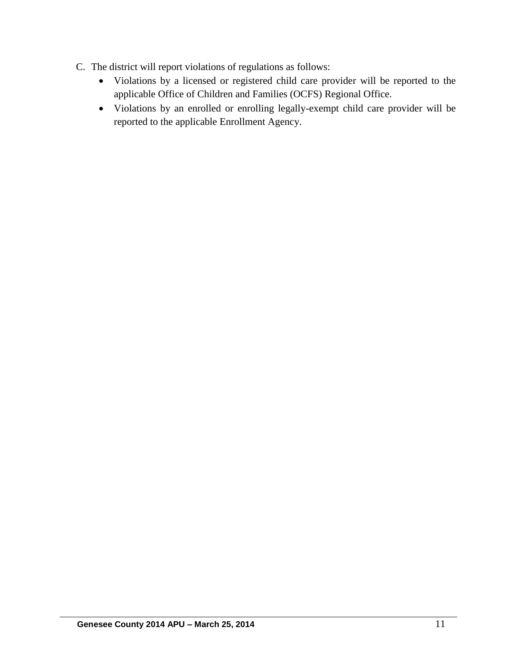- C. The district will report violations of regulations as follows:
	- Violations by a licensed or registered child care provider will be reported to the applicable Office of Children and Families (OCFS) Regional Office.
	- Violations by an enrolled or enrolling legally-exempt child care provider will be reported to the applicable Enrollment Agency.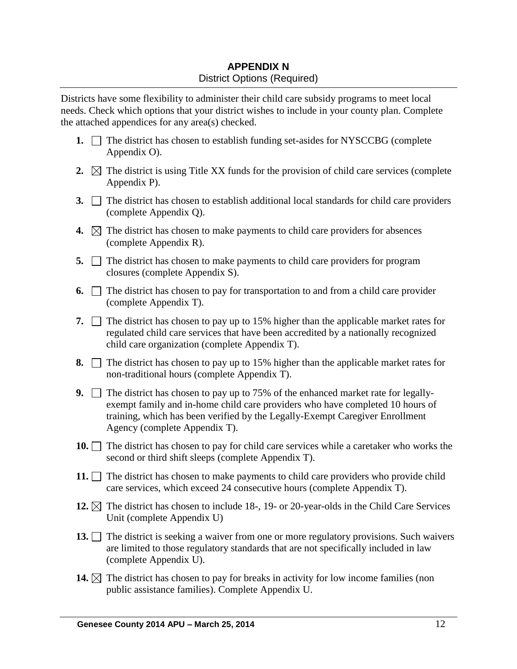# **APPENDIX N** District Options (Required)

Districts have some flexibility to administer their child care subsidy programs to meet local needs. Check which options that your district wishes to include in your county plan. Complete the attached appendices for any area(s) checked.

- **1.**  $\Box$  The district has chosen to establish funding set-asides for NYSCCBG (complete Appendix O).
- **2.**  $\boxtimes$  The district is using Title XX funds for the provision of child care services (complete Appendix P).
- **3.** The district has chosen to establish additional local standards for child care providers (complete Appendix Q).
- **4.**  $\boxtimes$  The district has chosen to make payments to child care providers for absences (complete Appendix R).
- **5.** The district has chosen to make payments to child care providers for program closures (complete Appendix S).
- **6.**  $\Box$  The district has chosen to pay for transportation to and from a child care provider (complete Appendix T).
- **7.**  $\Box$  The district has chosen to pay up to 15% higher than the applicable market rates for regulated child care services that have been accredited by a nationally recognized child care organization (complete Appendix T).
- **8.**  $\Box$  The district has chosen to pay up to 15% higher than the applicable market rates for non-traditional hours (complete Appendix T).
- **9.** The district has chosen to pay up to 75% of the enhanced market rate for legallyexempt family and in-home child care providers who have completed 10 hours of training, which has been verified by the Legally-Exempt Caregiver Enrollment Agency (complete Appendix T).
- **10.** The district has chosen to pay for child care services while a caretaker who works the second or third shift sleeps (complete Appendix T).
- **11.**  $\Box$  The district has chosen to make payments to child care providers who provide child care services, which exceed 24 consecutive hours (complete Appendix T).
- **12.**  $\boxtimes$  The district has chosen to include 18-, 19- or 20-year-olds in the Child Care Services Unit (complete Appendix U)
- **13.** The district is seeking a waiver from one or more regulatory provisions. Such waivers are limited to those regulatory standards that are not specifically included in law (complete Appendix U).
- **14.**  $\boxtimes$  The district has chosen to pay for breaks in activity for low income families (non public assistance families). Complete Appendix U.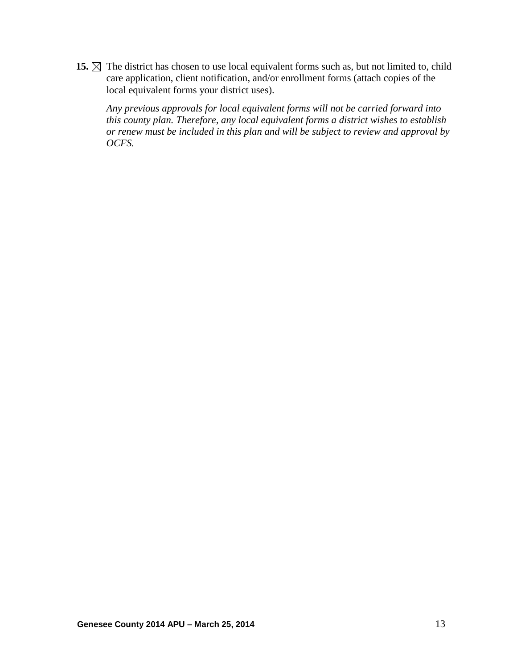15.  $\boxtimes$  The district has chosen to use local equivalent forms such as, but not limited to, child care application, client notification, and/or enrollment forms (attach copies of the local equivalent forms your district uses).

*Any previous approvals for local equivalent forms will not be carried forward into this county plan. Therefore, any local equivalent forms a district wishes to establish or renew must be included in this plan and will be subject to review and approval by OCFS.*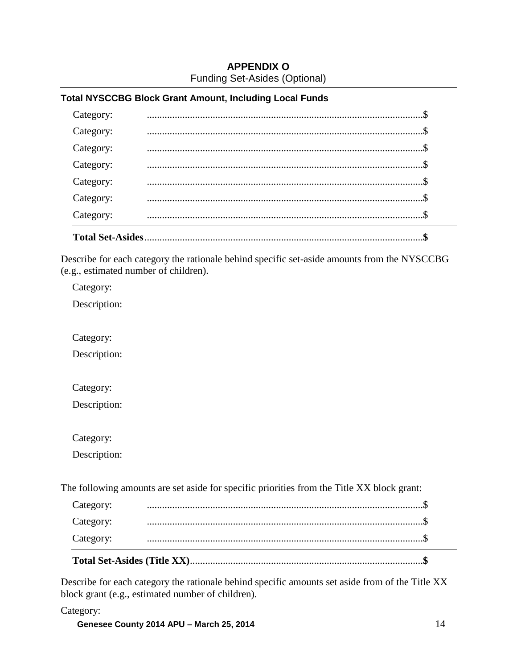# **APPENDIX O** Funding Set-Asides (Optional)

### **Total NYSCCBG Block Grant Amount, Including Local Funds**

| <b>Total Set-Asides</b> |  |
|-------------------------|--|
| Category:               |  |
| Category:               |  |
| Category:               |  |
| Category:               |  |
| Category:               |  |
| Category:               |  |
| Category:               |  |
|                         |  |

Describe for each category the rationale behind specific set-aside amounts from the NYSCCBG (e.g., estimated number of children).

Category:

Description:

Category:

Description:

Category:

Description:

Category:

Description:

The following amounts are set aside for specific priorities from the Title XX block grant:

| Category: |  |
|-----------|--|
| Category: |  |
| Category: |  |

Describe for each category the rationale behind specific amounts set aside from of the Title XX block grant (e.g., estimated number of children).

Category: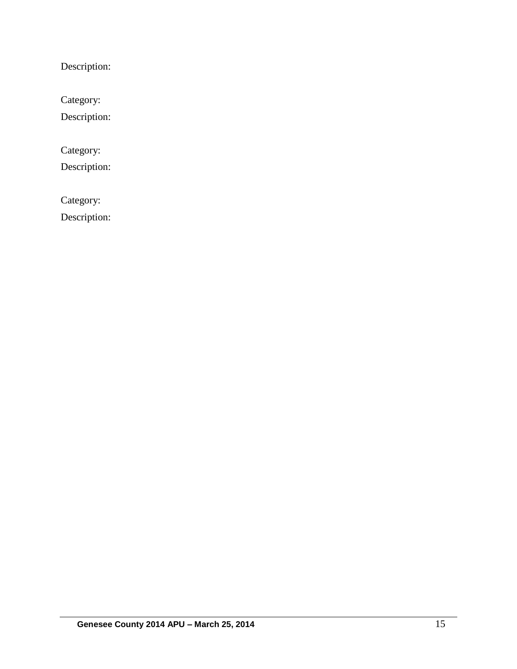Description:

Category:

Description:

Category:

Description:

Category:

Description: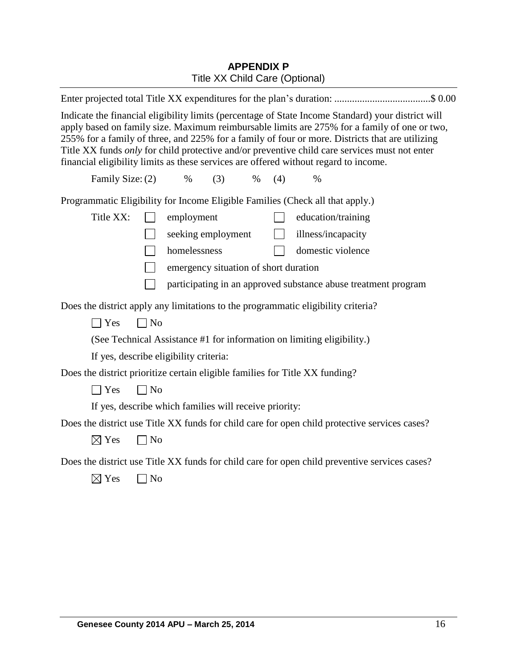# **APPENDIX P** Title XX Child Care (Optional)

| Enter projected total Title XX expenditures for the plan's duration: \$ 0.00                                                                                                                                                                                                                                                                                                                                                                                                                   |  |
|------------------------------------------------------------------------------------------------------------------------------------------------------------------------------------------------------------------------------------------------------------------------------------------------------------------------------------------------------------------------------------------------------------------------------------------------------------------------------------------------|--|
| Indicate the financial eligibility limits (percentage of State Income Standard) your district will<br>apply based on family size. Maximum reimbursable limits are 275% for a family of one or two,<br>255% for a family of three, and 225% for a family of four or more. Districts that are utilizing<br>Title XX funds only for child protective and/or preventive child care services must not enter<br>financial eligibility limits as these services are offered without regard to income. |  |
| Family Size: (2)<br>$\%$<br>(3)<br>$\%$<br>(4)<br>%                                                                                                                                                                                                                                                                                                                                                                                                                                            |  |
| Programmatic Eligibility for Income Eligible Families (Check all that apply.)                                                                                                                                                                                                                                                                                                                                                                                                                  |  |
| Title XX:<br>employment<br>education/training                                                                                                                                                                                                                                                                                                                                                                                                                                                  |  |
| seeking employment<br>illness/incapacity<br>$\mathbf{I}$                                                                                                                                                                                                                                                                                                                                                                                                                                       |  |
| homelessness<br>domestic violence                                                                                                                                                                                                                                                                                                                                                                                                                                                              |  |
| $\blacksquare$<br>emergency situation of short duration                                                                                                                                                                                                                                                                                                                                                                                                                                        |  |
| $\Box$<br>participating in an approved substance abuse treatment program                                                                                                                                                                                                                                                                                                                                                                                                                       |  |
| Does the district apply any limitations to the programmatic eligibility criteria?                                                                                                                                                                                                                                                                                                                                                                                                              |  |
| $\exists$ Yes<br>$\neg$ No                                                                                                                                                                                                                                                                                                                                                                                                                                                                     |  |
| (See Technical Assistance #1 for information on limiting eligibility.)                                                                                                                                                                                                                                                                                                                                                                                                                         |  |
| If yes, describe eligibility criteria:                                                                                                                                                                                                                                                                                                                                                                                                                                                         |  |
| Does the district prioritize certain eligible families for Title XX funding?                                                                                                                                                                                                                                                                                                                                                                                                                   |  |
| $\neg$ No<br>$\exists$ Yes                                                                                                                                                                                                                                                                                                                                                                                                                                                                     |  |
| If yes, describe which families will receive priority:                                                                                                                                                                                                                                                                                                                                                                                                                                         |  |
| Does the district use Title XX funds for child care for open child protective services cases?                                                                                                                                                                                                                                                                                                                                                                                                  |  |
| $\boxtimes$ Yes<br>$\Box$ No                                                                                                                                                                                                                                                                                                                                                                                                                                                                   |  |
| Does the district use Title XX funds for child care for open child preventive services cases?                                                                                                                                                                                                                                                                                                                                                                                                  |  |
| $\boxtimes$ Yes<br>N <sub>o</sub>                                                                                                                                                                                                                                                                                                                                                                                                                                                              |  |
|                                                                                                                                                                                                                                                                                                                                                                                                                                                                                                |  |
|                                                                                                                                                                                                                                                                                                                                                                                                                                                                                                |  |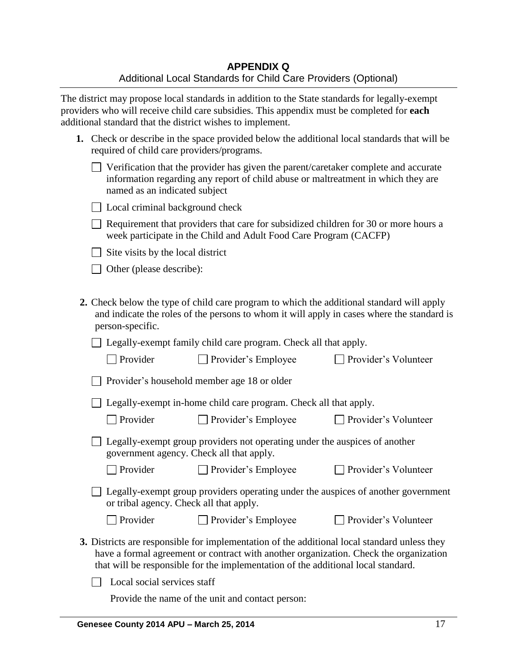The district may propose local standards in addition to the State standards for legally-exempt providers who will receive child care subsidies. This appendix must be completed for **each** additional standard that the district wishes to implement.

| 1. Check or describe in the space provided below the additional local standards that will be |
|----------------------------------------------------------------------------------------------|
| required of child care providers/programs.                                                   |

| $\Box$ Verification that the provider has given the parent/caretaker complete and accurate |
|--------------------------------------------------------------------------------------------|
| information regarding any report of child abuse or maltreatment in which they are          |
| named as an indicated subject                                                              |

|  |  | □ Local criminal background check |  |
|--|--|-----------------------------------|--|
|  |  |                                   |  |

 $\Box$  Requirement that providers that care for subsidized children for 30 or more hours a week participate in the Child and Adult Food Care Program (CACFP)

 $\Box$  Site visits by the local district

□ Other (please describe):

**2.** Check below the type of child care program to which the additional standard will apply and indicate the roles of the persons to whom it will apply in cases where the standard is person-specific.

□ Legally-exempt family child care program. Check all that apply.

| $\Box$ Provider<br>$\Box$ Provider's Employee | □ Provider's Volunteer |
|-----------------------------------------------|------------------------|
|-----------------------------------------------|------------------------|

|  |  | $\Box$ Provider's household member age 18 or older |  |  |  |
|--|--|----------------------------------------------------|--|--|--|
|--|--|----------------------------------------------------|--|--|--|

□ Legally-exempt in-home child care program. Check all that apply.

□ Provider Provider's Employee Provider's Volunteer

| $\Box$ Legally-exempt group providers not operating under the auspices of another |  |
|-----------------------------------------------------------------------------------|--|
| government agency. Check all that apply.                                          |  |

Provider Provider's Employee Provider's Volunteer

 $\Box$  Legally-exempt group providers operating under the auspices of another government or tribal agency. Check all that apply.

| $\Box$ Provider | Provider's Employee |
|-----------------|---------------------|

- $\Box$  Provider's Volunteer
- **3.** Districts are responsible for implementation of the additional local standard unless they have a formal agreement or contract with another organization. Check the organization that will be responsible for the implementation of the additional local standard.

 $\Box$  Local social services staff

Provide the name of the unit and contact person: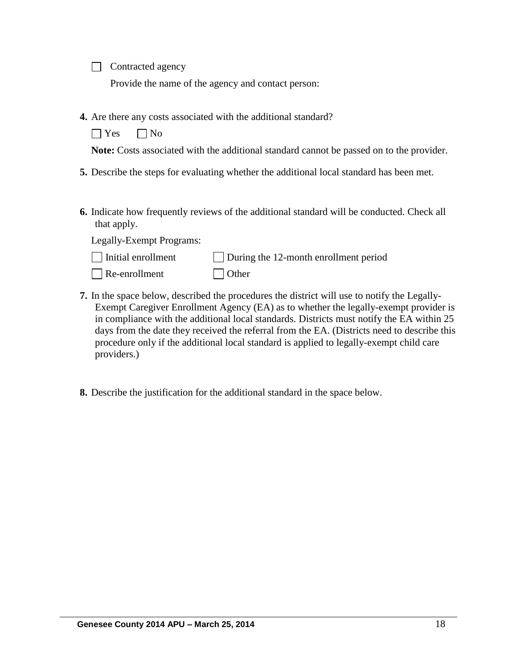Contracted agency

Provide the name of the agency and contact person:

**4.** Are there any costs associated with the additional standard?

 $\Box$  Yes  $\Box$  No

**Note:** Costs associated with the additional standard cannot be passed on to the provider.

- **5.** Describe the steps for evaluating whether the additional local standard has been met.
- **6.** Indicate how frequently reviews of the additional standard will be conducted. Check all that apply.

Legally-Exempt Programs:

providers.)

 $\Box$  Re-enrollment  $\Box$  Other

- **7.** In the space below, described the procedures the district will use to notify the Legally-Exempt Caregiver Enrollment Agency (EA) as to whether the legally-exempt provider is in compliance with the additional local standards. Districts must notify the EA within 25 days from the date they received the referral from the EA. (Districts need to describe this procedure only if the additional local standard is applied to legally-exempt child care
	- **8.** Describe the justification for the additional standard in the space below.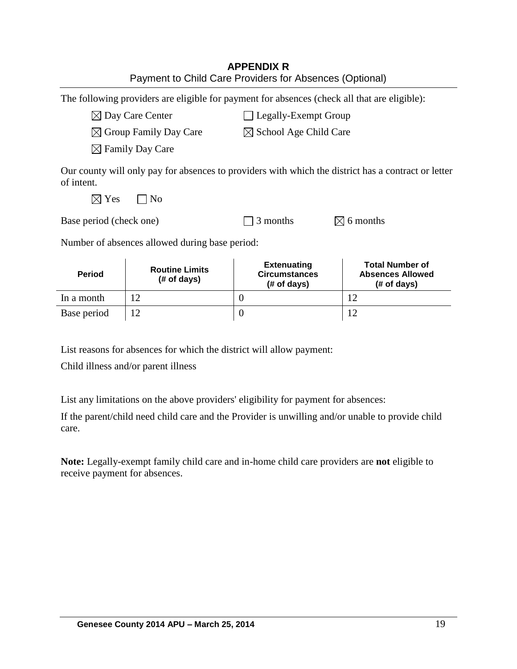| <b>APPENDIX R</b>                                       |
|---------------------------------------------------------|
| Payment to Child Care Providers for Absences (Optional) |

The following providers are eligible for payment for absences (check all that are eligible):

 $\boxtimes$  Day Care Center  $\Box$  Legally-Exempt Group

 $\boxtimes$  Group Family Day Care  $\boxtimes$  School Age Child Care

 $\boxtimes$  Family Day Care

Our county will only pay for absences to providers with which the district has a contract or letter of intent.

 $\boxtimes$  Yes  $\Box$  No

| Base period (check one) | $\Box$ 3 months | $\boxtimes$ 6 months |
|-------------------------|-----------------|----------------------|
|-------------------------|-----------------|----------------------|

Number of absences allowed during base period:

| <b>Period</b> | <b>Routine Limits</b><br>$#$ of days) | <b>Extenuating</b><br><b>Circumstances</b><br>$#$ of days) | <b>Total Number of</b><br><b>Absences Allowed</b><br>$#$ of days) |
|---------------|---------------------------------------|------------------------------------------------------------|-------------------------------------------------------------------|
| In a month    |                                       |                                                            | 1 ິ                                                               |
| Base period   |                                       |                                                            | 1 Պ                                                               |

List reasons for absences for which the district will allow payment:

Child illness and/or parent illness

List any limitations on the above providers' eligibility for payment for absences:

If the parent/child need child care and the Provider is unwilling and/or unable to provide child care.

**Note:** Legally-exempt family child care and in-home child care providers are **not** eligible to receive payment for absences.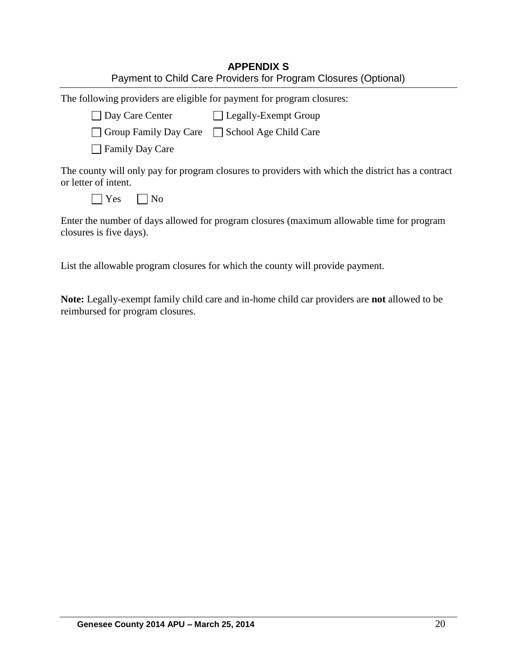| <b>APPENDIX S</b>                                               |
|-----------------------------------------------------------------|
| Payment to Child Care Providers for Program Closures (Optional) |

|  |  | The following providers are eligible for payment for program closures: |
|--|--|------------------------------------------------------------------------|
|  |  |                                                                        |
|  |  |                                                                        |
|  |  |                                                                        |

| □ Day Care Center | □ Legally-Exempt Group |
|-------------------|------------------------|
|                   |                        |

| Group Family Day Care | School Age Child Care |
|-----------------------|-----------------------|
|-----------------------|-----------------------|

**□ Family Day Care** 

The county will only pay for program closures to providers with which the district has a contract or letter of intent.

| ∼<br>- - | ง∩ |
|----------|----|
|----------|----|

Enter the number of days allowed for program closures (maximum allowable time for program closures is five days).

List the allowable program closures for which the county will provide payment.

**Note:** Legally-exempt family child care and in-home child car providers are **not** allowed to be reimbursed for program closures.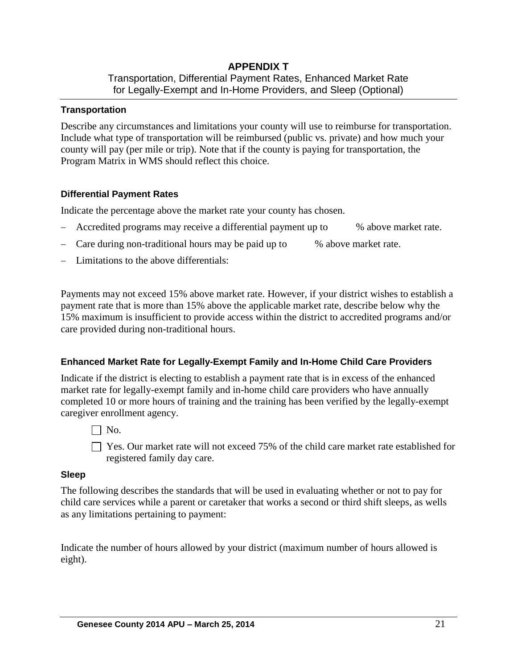# **APPENDIX T** Transportation, Differential Payment Rates, Enhanced Market Rate for Legally-Exempt and In-Home Providers, and Sleep (Optional)

### **Transportation**

Describe any circumstances and limitations your county will use to reimburse for transportation. Include what type of transportation will be reimbursed (public vs. private) and how much your county will pay (per mile or trip). Note that if the county is paying for transportation, the Program Matrix in WMS should reflect this choice.

### **Differential Payment Rates**

Indicate the percentage above the market rate your county has chosen.

- Accredited programs may receive a differential payment up to % above market rate.
- Care during non-traditional hours may be paid up to % above market rate.
- Limitations to the above differentials:

Payments may not exceed 15% above market rate. However, if your district wishes to establish a payment rate that is more than 15% above the applicable market rate, describe below why the 15% maximum is insufficient to provide access within the district to accredited programs and/or care provided during non-traditional hours.

# **Enhanced Market Rate for Legally-Exempt Family and In-Home Child Care Providers**

Indicate if the district is electing to establish a payment rate that is in excess of the enhanced market rate for legally-exempt family and in-home child care providers who have annually completed 10 or more hours of training and the training has been verified by the legally-exempt caregiver enrollment agency.

 $\Box$  No.

□ Yes. Our market rate will not exceed 75% of the child care market rate established for registered family day care.

### **Sleep**

The following describes the standards that will be used in evaluating whether or not to pay for child care services while a parent or caretaker that works a second or third shift sleeps, as wells as any limitations pertaining to payment:

Indicate the number of hours allowed by your district (maximum number of hours allowed is eight).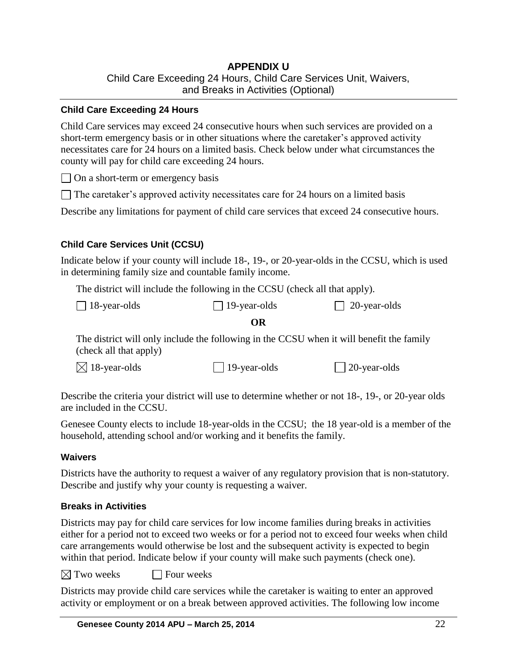# **APPENDIX U** Child Care Exceeding 24 Hours, Child Care Services Unit, Waivers, and Breaks in Activities (Optional)

### **Child Care Exceeding 24 Hours**

Child Care services may exceed 24 consecutive hours when such services are provided on a short-term emergency basis or in other situations where the caretaker's approved activity necessitates care for 24 hours on a limited basis. Check below under what circumstances the county will pay for child care exceeding 24 hours.

 $\Box$  On a short-term or emergency basis

 $\Box$  The caretaker's approved activity necessitates care for 24 hours on a limited basis

Describe any limitations for payment of child care services that exceed 24 consecutive hours.

### **Child Care Services Unit (CCSU)**

Indicate below if your county will include 18-, 19-, or 20-year-olds in the CCSU, which is used in determining family size and countable family income.

The district will include the following in the CCSU (check all that apply).

| $\Box$ 18-year-olds | $\Box$ 19-year-olds | $\Box$ 20-year-olds |
|---------------------|---------------------|---------------------|
|---------------------|---------------------|---------------------|

### **OR**

The district will only include the following in the CCSU when it will benefit the family (check all that apply)

 $\boxtimes$  18-year-olds  $\Box$  19-year-olds  $\Box$  20-year-olds

Describe the criteria your district will use to determine whether or not 18-, 19-, or 20-year olds are included in the CCSU.

Genesee County elects to include 18-year-olds in the CCSU; the 18 year-old is a member of the household, attending school and/or working and it benefits the family.

### **Waivers**

Districts have the authority to request a waiver of any regulatory provision that is non-statutory. Describe and justify why your county is requesting a waiver.

# **Breaks in Activities**

Districts may pay for child care services for low income families during breaks in activities either for a period not to exceed two weeks or for a period not to exceed four weeks when child care arrangements would otherwise be lost and the subsequent activity is expected to begin within that period. Indicate below if your county will make such payments (check one).

 $\boxtimes$  Two weeks  $\Box$  Four weeks

Districts may provide child care services while the caretaker is waiting to enter an approved activity or employment or on a break between approved activities. The following low income